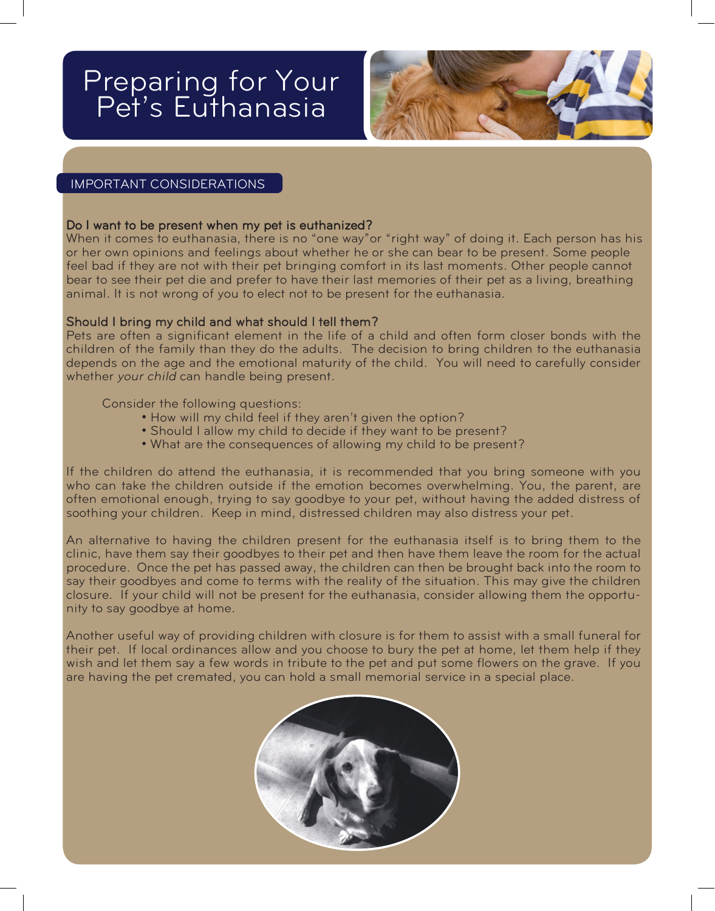# Preparing for Your Pet's Euthanasia



# IMPORTANT CONSIDERATIONS

# Do I want to be present when my pet is euthanized?

When it comes to euthanasia, there is no "one way"or "right way" of doing it. Each person has his or her own opinions and feelings about whether he or she can bear to be present. Some people feel bad if they are not with their pet bringing comfort in its last moments. Other people cannot bear to see their pet die and prefer to have their last memories of their pet as a living, breathing animal. It is not wrong of you to elect not to be present for the euthanasia.

# Should I bring my child and what should I tell them?

Pets are often a significant element in the life of a child and often form closer bonds with the children of the family than they do the adults. The decision to bring children to the euthanasia depends on the age and the emotional maturity of the child. You will need to carefully consider whether your child can handle being present.

### Consider the following questions:

- How will my child feel if they aren't given the option?
- Should I allow my child to decide if they want to be present?
- What are the consequences of allowing my child to be present?

If the children do attend the euthanasia, it is recommended that you bring someone with you who can take the children outside if the emotion becomes overwhelming. You, the parent, are often emotional enough, trying to say goodbye to your pet, without having the added distress of soothing your children. Keep in mind, distressed children may also distress your pet.

An alternative to having the children present for the euthanasia itself is to bring them to the clinic, have them say their goodbyes to their pet and then have them leave the room for the actual procedure. Once the pet has passed away, the children can then be brought back into the room to say their goodbyes and come to terms with the reality of the situation. This may give the children closure. If your child will not be present for the euthanasia, consider allowing them the opportunity to say goodbye at home.

Another useful way of providing children with closure is for them to assist with a small funeral for their pet. If local ordinances allow and you choose to bury the pet at home, let them help if they wish and let them say a few words in tribute to the pet and put some flowers on the grave. If you are having the pet cremated, you can hold a small memorial service in a special place.